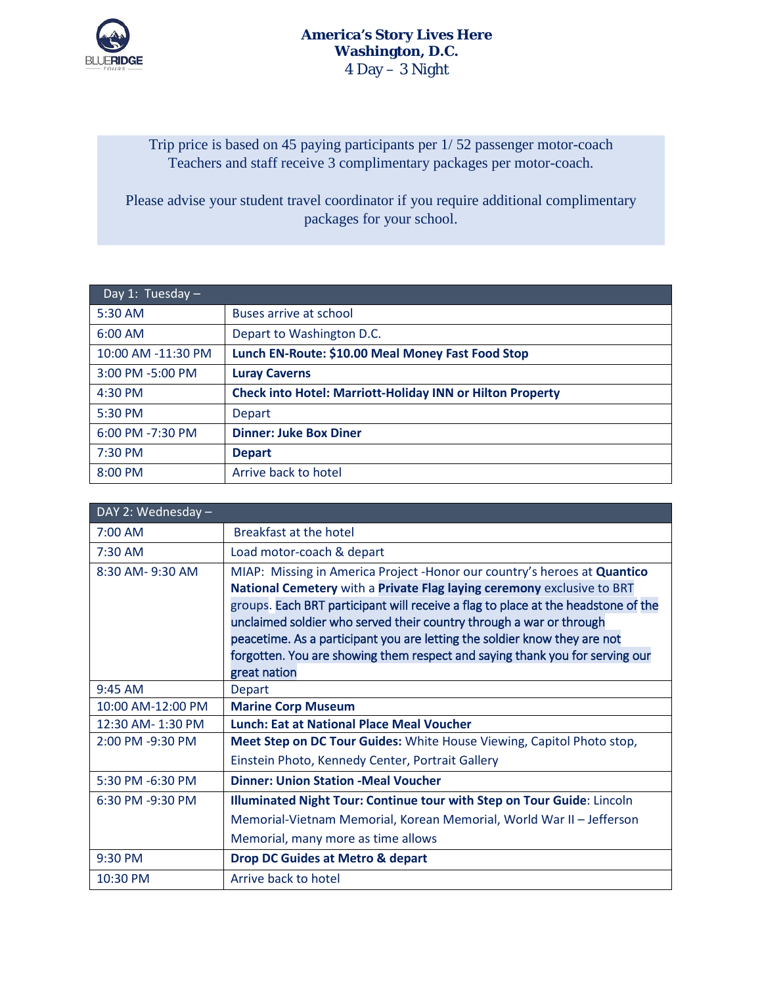

Trip price is based on 45 paying participants per 1/ 52 passenger motor-coach Teachers and staff receive 3 complimentary packages per motor-coach.

Please advise your student travel coordinator if you require additional complimentary packages for your school.

| Day 1: Tuesday $-$ |                                                                  |
|--------------------|------------------------------------------------------------------|
| 5:30 AM            | Buses arrive at school                                           |
| 6:00 AM            | Depart to Washington D.C.                                        |
| 10:00 AM -11:30 PM | Lunch EN-Route: \$10.00 Meal Money Fast Food Stop                |
| 3:00 PM -5:00 PM   | <b>Luray Caverns</b>                                             |
| $4:30$ PM          | <b>Check into Hotel: Marriott-Holiday INN or Hilton Property</b> |
| 5:30 PM            | <b>Depart</b>                                                    |
| 6:00 PM -7:30 PM   | <b>Dinner: Juke Box Diner</b>                                    |
| $7:30$ PM          | <b>Depart</b>                                                    |
| 8:00 PM            | Arrive back to hotel                                             |

| DAY 2: Wednesday - |                                                                                   |  |  |  |
|--------------------|-----------------------------------------------------------------------------------|--|--|--|
| 7:00 AM            | Breakfast at the hotel                                                            |  |  |  |
| $7:30$ AM          | Load motor-coach & depart                                                         |  |  |  |
| 8:30 AM-9:30 AM    | MIAP: Missing in America Project - Honor our country's heroes at Quantico         |  |  |  |
|                    | National Cemetery with a Private Flag laying ceremony exclusive to BRT            |  |  |  |
|                    | groups. Each BRT participant will receive a flag to place at the headstone of the |  |  |  |
|                    | unclaimed soldier who served their country through a war or through               |  |  |  |
|                    | peacetime. As a participant you are letting the soldier know they are not         |  |  |  |
|                    | forgotten. You are showing them respect and saying thank you for serving our      |  |  |  |
|                    | great nation                                                                      |  |  |  |
| $9:45$ AM          | <b>Depart</b>                                                                     |  |  |  |
| 10:00 AM-12:00 PM  | <b>Marine Corp Museum</b>                                                         |  |  |  |
| 12:30 AM-1:30 PM   | <b>Lunch: Eat at National Place Meal Voucher</b>                                  |  |  |  |
| 2:00 PM -9:30 PM   | Meet Step on DC Tour Guides: White House Viewing, Capitol Photo stop,             |  |  |  |
|                    | Einstein Photo, Kennedy Center, Portrait Gallery                                  |  |  |  |
| 5:30 PM -6:30 PM   | <b>Dinner: Union Station -Meal Voucher</b>                                        |  |  |  |
| 6:30 PM -9:30 PM   | Illuminated Night Tour: Continue tour with Step on Tour Guide: Lincoln            |  |  |  |
|                    | Memorial-Vietnam Memorial, Korean Memorial, World War II - Jefferson              |  |  |  |
|                    | Memorial, many more as time allows                                                |  |  |  |
| 9:30 PM            | <b>Drop DC Guides at Metro &amp; depart</b>                                       |  |  |  |
| 10:30 PM           | Arrive back to hotel                                                              |  |  |  |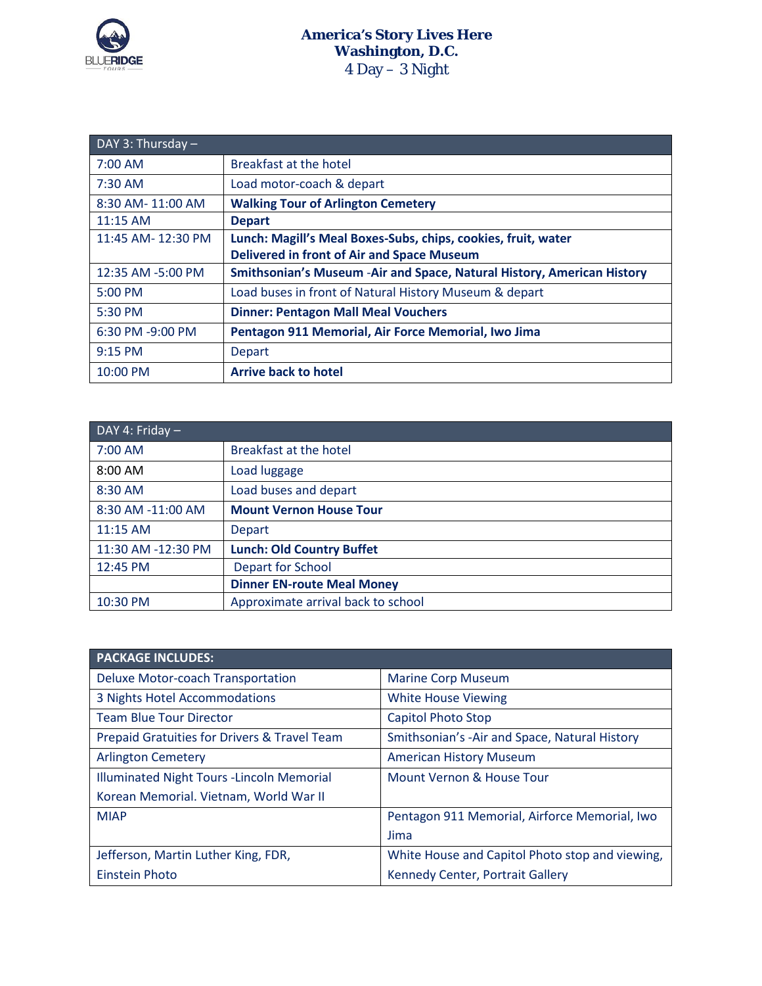

| DAY 3: Thursday $-$ |                                                                         |  |  |  |
|---------------------|-------------------------------------------------------------------------|--|--|--|
| $7:00$ AM           | Breakfast at the hotel                                                  |  |  |  |
| 7:30 AM             | Load motor-coach & depart                                               |  |  |  |
| 8:30 AM-11:00 AM    | <b>Walking Tour of Arlington Cemetery</b>                               |  |  |  |
| 11:15 AM            | <b>Depart</b>                                                           |  |  |  |
| 11:45 AM-12:30 PM   | Lunch: Magill's Meal Boxes-Subs, chips, cookies, fruit, water           |  |  |  |
|                     | <b>Delivered in front of Air and Space Museum</b>                       |  |  |  |
| 12:35 AM -5:00 PM   | Smithsonian's Museum - Air and Space, Natural History, American History |  |  |  |
| 5:00 PM             | Load buses in front of Natural History Museum & depart                  |  |  |  |
| 5:30 PM             | <b>Dinner: Pentagon Mall Meal Vouchers</b>                              |  |  |  |
| 6:30 PM -9:00 PM    | Pentagon 911 Memorial, Air Force Memorial, Iwo Jima                     |  |  |  |
| 9:15 PM             | Depart                                                                  |  |  |  |
| $10:00$ PM          | <b>Arrive back to hotel</b>                                             |  |  |  |

| DAY 4: Friday -    |                                    |  |  |  |
|--------------------|------------------------------------|--|--|--|
| 7:00 AM            | Breakfast at the hotel             |  |  |  |
| 8:00 AM            | Load luggage                       |  |  |  |
| 8:30 AM            | Load buses and depart              |  |  |  |
| 8:30 AM -11:00 AM  | <b>Mount Vernon House Tour</b>     |  |  |  |
| 11:15 AM           | Depart                             |  |  |  |
| 11:30 AM -12:30 PM | <b>Lunch: Old Country Buffet</b>   |  |  |  |
| 12:45 PM           | Depart for School                  |  |  |  |
|                    | <b>Dinner EN-route Meal Money</b>  |  |  |  |
| 10:30 PM           | Approximate arrival back to school |  |  |  |

| <b>PACKAGE INCLUDES:</b>                     |                                                 |  |
|----------------------------------------------|-------------------------------------------------|--|
| Deluxe Motor-coach Transportation            | <b>Marine Corp Museum</b>                       |  |
| 3 Nights Hotel Accommodations                | <b>White House Viewing</b>                      |  |
| <b>Team Blue Tour Director</b>               | <b>Capitol Photo Stop</b>                       |  |
| Prepaid Gratuities for Drivers & Travel Team | Smithsonian's -Air and Space, Natural History   |  |
| <b>Arlington Cemetery</b>                    | <b>American History Museum</b>                  |  |
| Illuminated Night Tours - Lincoln Memorial   | Mount Vernon & House Tour                       |  |
| Korean Memorial. Vietnam, World War II       |                                                 |  |
| <b>MIAP</b>                                  | Pentagon 911 Memorial, Airforce Memorial, Iwo   |  |
|                                              | Jima                                            |  |
| Jefferson, Martin Luther King, FDR,          | White House and Capitol Photo stop and viewing, |  |
| <b>Einstein Photo</b>                        | Kennedy Center, Portrait Gallery                |  |